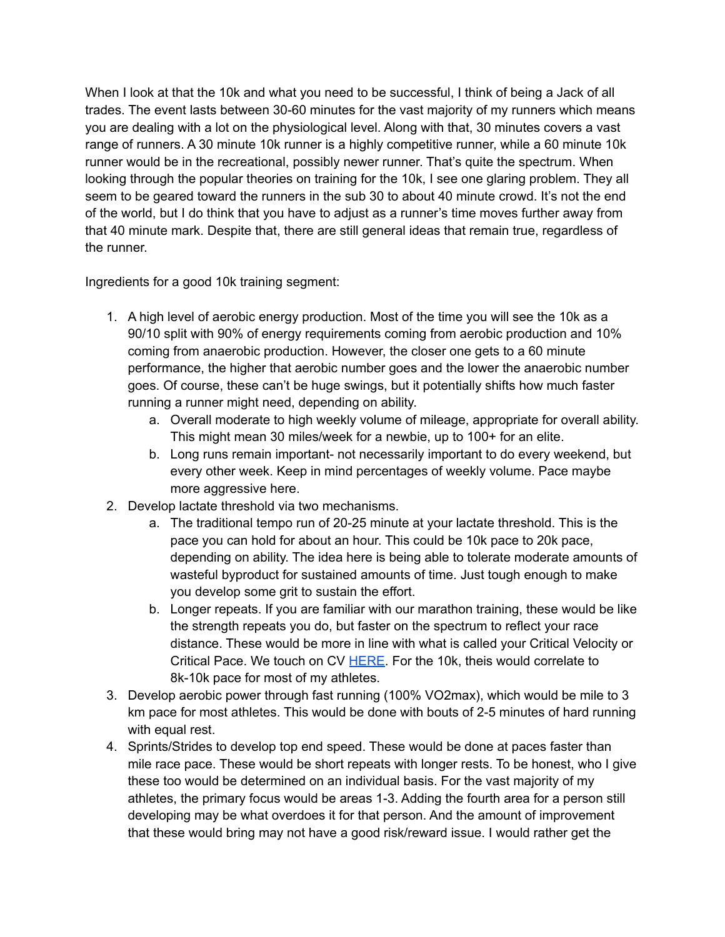When I look at that the 10k and what you need to be successful, I think of being a Jack of all trades. The event lasts between 30-60 minutes for the vast majority of my runners which means you are dealing with a lot on the physiological level. Along with that, 30 minutes covers a vast range of runners. A 30 minute 10k runner is a highly competitive runner, while a 60 minute 10k runner would be in the recreational, possibly newer runner. That's quite the spectrum. When looking through the popular theories on training for the 10k, I see one glaring problem. They all seem to be geared toward the runners in the sub 30 to about 40 minute crowd. It's not the end of the world, but I do think that you have to adjust as a runner's time moves further away from that 40 minute mark. Despite that, there are still general ideas that remain true, regardless of the runner.

Ingredients for a good 10k training segment:

- 1. A high level of aerobic energy production. Most of the time you will see the 10k as a 90/10 split with 90% of energy requirements coming from aerobic production and 10% coming from anaerobic production. However, the closer one gets to a 60 minute performance, the higher that aerobic number goes and the lower the anaerobic number goes. Of course, these can't be huge swings, but it potentially shifts how much faster running a runner might need, depending on ability.
	- a. Overall moderate to high weekly volume of mileage, appropriate for overall ability. This might mean 30 miles/week for a newbie, up to 100+ for an elite.
	- b. Long runs remain important- not necessarily important to do every weekend, but every other week. Keep in mind percentages of weekly volume. Pace maybe more aggressive here.
- 2. Develop lactate threshold via two mechanisms.
	- a. The traditional tempo run of 20-25 minute at your lactate threshold. This is the pace you can hold for about an hour. This could be 10k pace to 20k pace, depending on ability. The idea here is being able to tolerate moderate amounts of wasteful byproduct for sustained amounts of time. Just tough enough to make you develop some grit to sustain the effort.
	- b. Longer repeats. If you are familiar with our marathon training, these would be like the strength repeats you do, but faster on the spectrum to reflect your race distance. These would be more in line with what is called your Critical Velocity or Critical Pace. We touch on CV [HERE](https://lukehumphreyrunning.com/late-marathon-fade-but-not-hitting-the-wall/). For the 10k, theis would correlate to 8k-10k pace for most of my athletes.
- 3. Develop aerobic power through fast running (100% VO2max), which would be mile to 3 km pace for most athletes. This would be done with bouts of 2-5 minutes of hard running with equal rest.
- 4. Sprints/Strides to develop top end speed. These would be done at paces faster than mile race pace. These would be short repeats with longer rests. To be honest, who I give these too would be determined on an individual basis. For the vast majority of my athletes, the primary focus would be areas 1-3. Adding the fourth area for a person still developing may be what overdoes it for that person. And the amount of improvement that these would bring may not have a good risk/reward issue. I would rather get the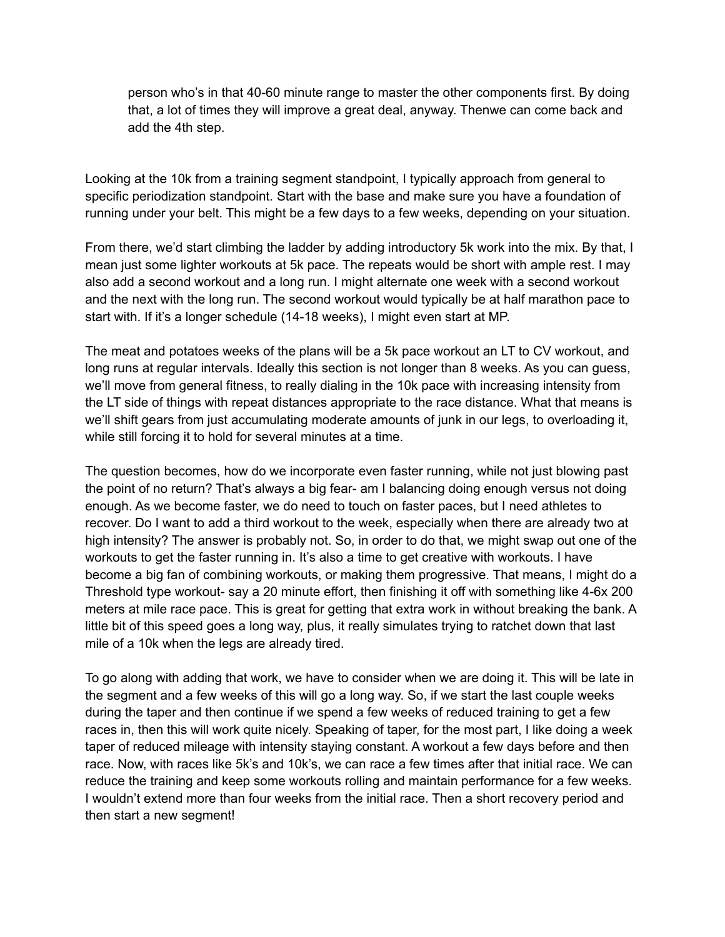person who's in that 40-60 minute range to master the other components first. By doing that, a lot of times they will improve a great deal, anyway. Thenwe can come back and add the 4th step.

Looking at the 10k from a training segment standpoint, I typically approach from general to specific periodization standpoint. Start with the base and make sure you have a foundation of running under your belt. This might be a few days to a few weeks, depending on your situation.

From there, we'd start climbing the ladder by adding introductory 5k work into the mix. By that, I mean just some lighter workouts at 5k pace. The repeats would be short with ample rest. I may also add a second workout and a long run. I might alternate one week with a second workout and the next with the long run. The second workout would typically be at half marathon pace to start with. If it's a longer schedule (14-18 weeks), I might even start at MP.

The meat and potatoes weeks of the plans will be a 5k pace workout an LT to CV workout, and long runs at regular intervals. Ideally this section is not longer than 8 weeks. As you can guess, we'll move from general fitness, to really dialing in the 10k pace with increasing intensity from the LT side of things with repeat distances appropriate to the race distance. What that means is we'll shift gears from just accumulating moderate amounts of junk in our legs, to overloading it, while still forcing it to hold for several minutes at a time.

The question becomes, how do we incorporate even faster running, while not just blowing past the point of no return? That's always a big fear- am I balancing doing enough versus not doing enough. As we become faster, we do need to touch on faster paces, but I need athletes to recover. Do I want to add a third workout to the week, especially when there are already two at high intensity? The answer is probably not. So, in order to do that, we might swap out one of the workouts to get the faster running in. It's also a time to get creative with workouts. I have become a big fan of combining workouts, or making them progressive. That means, I might do a Threshold type workout- say a 20 minute effort, then finishing it off with something like 4-6x 200 meters at mile race pace. This is great for getting that extra work in without breaking the bank. A little bit of this speed goes a long way, plus, it really simulates trying to ratchet down that last mile of a 10k when the legs are already tired.

To go along with adding that work, we have to consider when we are doing it. This will be late in the segment and a few weeks of this will go a long way. So, if we start the last couple weeks during the taper and then continue if we spend a few weeks of reduced training to get a few races in, then this will work quite nicely. Speaking of taper, for the most part, I like doing a week taper of reduced mileage with intensity staying constant. A workout a few days before and then race. Now, with races like 5k's and 10k's, we can race a few times after that initial race. We can reduce the training and keep some workouts rolling and maintain performance for a few weeks. I wouldn't extend more than four weeks from the initial race. Then a short recovery period and then start a new segment!